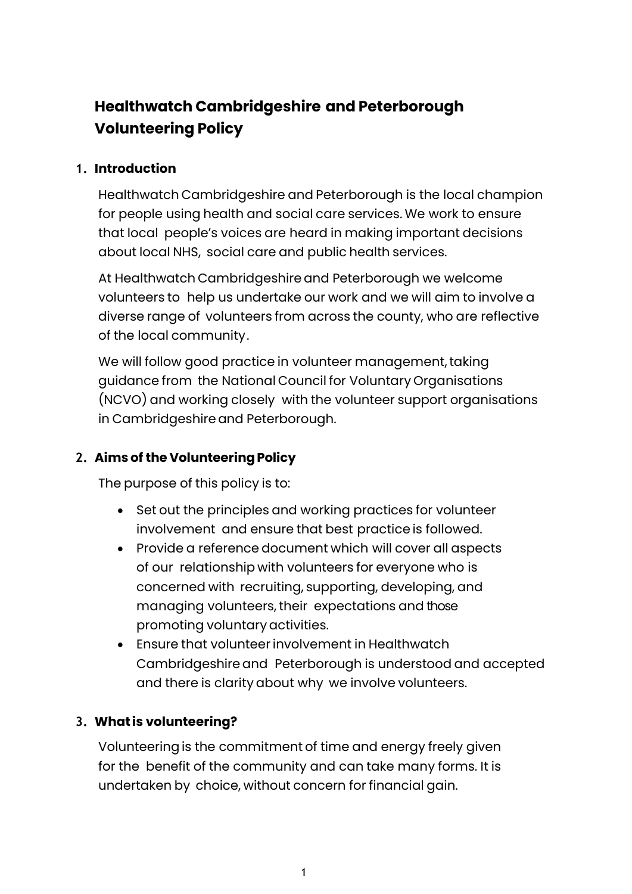# **Healthwatch Cambridgeshire and Peterborough Volunteering Policy**

## **1. Introduction**

Healthwatch Cambridgeshire and Peterborough is the local champion for people using health and social care services. We work to ensure that local people's voices are heard in making important decisions about local NHS, social care and public health services.

At Healthwatch Cambridgeshire and Peterborough we welcome volunteers to help us undertake our work and we will aim to involve a diverse range of volunteers from across the county, who are reflective of the local community.

We will follow good practice in volunteer management, taking guidance from the National Council for Voluntary Organisations (NCVO) and working closely with the volunteer support organisations in Cambridgeshire and Peterborough.

# **2. Aims of the VolunteeringPolicy**

The purpose of this policy is to:

- Set out the principles and working practices for volunteer involvement and ensure that best practice is followed.
- Provide a reference document which will cover all aspects of our relationship with volunteers for everyone who is concerned with recruiting, supporting, developing, and managing volunteers, their expectations and those promoting voluntaryactivities.
- Ensure that volunteerinvolvement in Healthwatch Cambridgeshire and Peterborough is understood and accepted and there is clarity about why we involve volunteers.

# **3. What is volunteering?**

Volunteeringis the commitment of time and energy freely given for the benefit of the community and can take many forms. It is undertaken by choice, without concern for financial gain.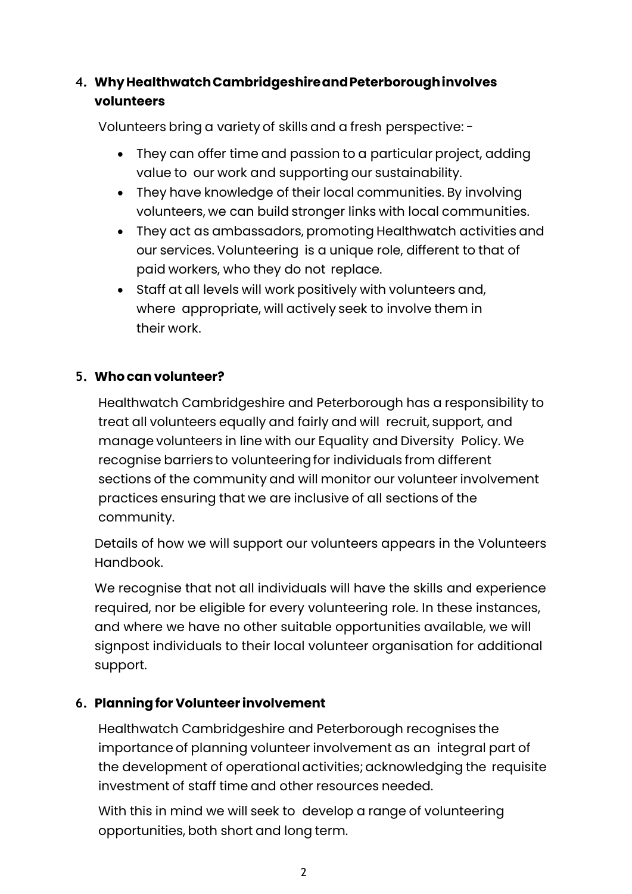# **4. WhyHealthwatchCambridgeshireandPeterboroughinvolves volunteers**

Volunteers bring a variety of skills and a fresh perspective: -

- They can offer time and passion to a particular project, adding value to our work and supporting our sustainability.
- They have knowledge of their local communities. By involving volunteers, we can build stronger links with local communities.
- They act as ambassadors, promoting Healthwatch activities and our services. Volunteering is a unique role, different to that of paid workers, who they do not replace.
- Staff at all levels will work positively with volunteers and, where appropriate, will actively seek to involve them in their work.

# **5. Who can volunteer?**

Healthwatch Cambridgeshire and Peterborough has a responsibility to treat all volunteers equally and fairly and will recruit, support, and manage volunteers in line with our Equality and Diversity Policy. We recognise barriers to volunteeringfor individuals from different sections of the community and will monitor our volunteer involvement practices ensuring that we are inclusive of all sections of the community.

Details of how we will support our volunteers appears in the Volunteers Handbook.

We recognise that not all individuals will have the skills and experience required, nor be eligible for every volunteering role. In these instances, and where we have no other suitable opportunities available, we will signpost individuals to their local volunteer organisation for additional support.

# **6. Planningfor Volunteer involvement**

Healthwatch Cambridgeshire and Peterborough recognises the importance of planning volunteer involvement as an integral part of the development of operational activities; acknowledging the requisite investment of staff time and other resources needed.

With this in mind we will seek to develop a range of volunteering opportunities, both short and long term.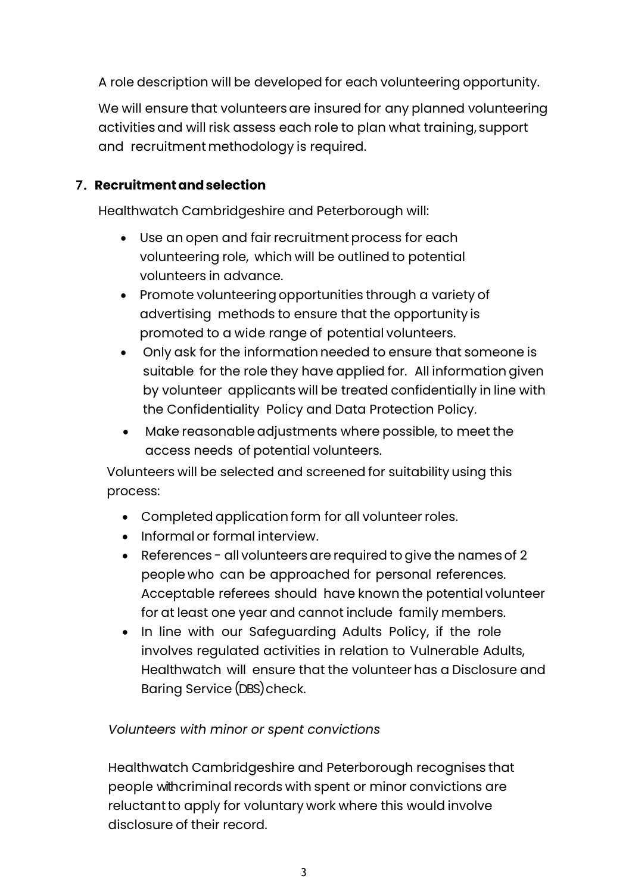A role description will be developed for each volunteering opportunity.

We will ensure that volunteers are insured for any planned volunteering activitiesand will risk assess each role to plan what training, support and recruitment methodology is required.

## **7. Recruitmentandselection**

Healthwatch Cambridgeshire and Peterborough will:

- Use an open and fair recruitment process for each volunteering role, which will be outlined to potential volunteers in advance.
- Promote volunteering opportunities through a variety of advertising methods to ensure that the opportunity is promoted to a wide range of potential volunteers.
- Only ask for the information needed to ensure that someone is suitable for the role they have applied for. All information given by volunteer applicants will be treated confidentially in line with the Confidentiality Policy and Data Protection Policy.
- Make reasonable adjustments where possible, to meet the access needs of potential volunteers.

Volunteers will be selected and screened for suitability using this process:

- Completed application form for all volunteer roles.
- Informal or formal interview.
- References all volunteers are required to give the names of 2 people who can be approached for personal references. Acceptable referees should have known the potential volunteer for at least one year and cannot include family members.
- In line with our Safeguarding Adults Policy, if the role involves regulated activities in relation to Vulnerable Adults, Healthwatch will ensure that the volunteer has a Disclosure and Baring Service (DBS) check.

### *Volunteers with minor or spent convictions*

Healthwatch Cambridgeshire and Peterborough recognises that people with criminal records with spent or minor convictions are reluctant to apply for voluntary work where this would involve disclosure of their record.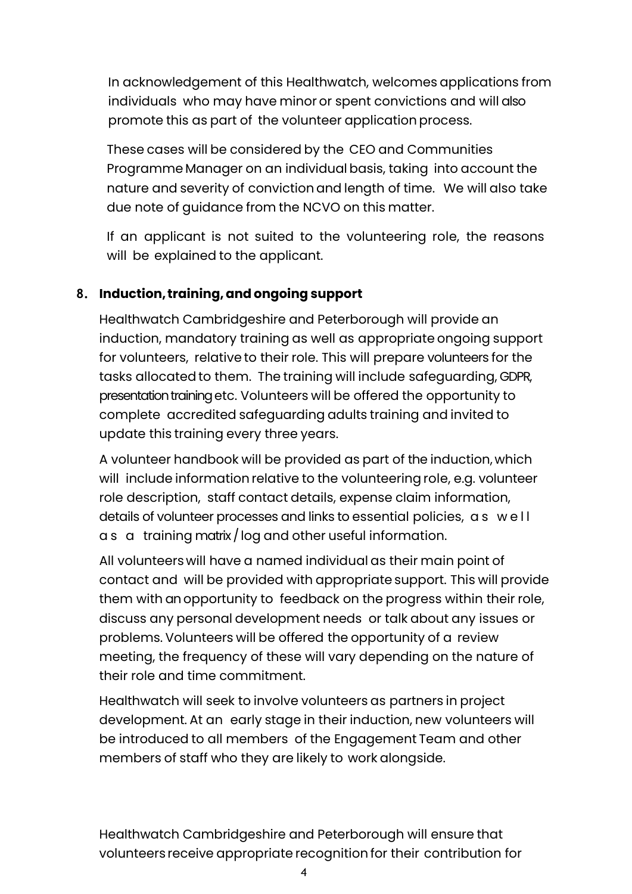In acknowledgement of this Healthwatch, welcomes applications from individuals who may have minor or spent convictions and will also promote this as part of the volunteer application process.

These cases will be considered by the CEO and Communities Programme Manager on an individual basis, taking into account the nature and severity of convictionand length of time. We will also take due note of guidance from the NCVO on this matter.

If an applicant is not suited to the volunteering role, the reasons will be explained to the applicant.

## **8. Induction, training,and ongoing support**

Healthwatch Cambridgeshire and Peterborough will provide an induction, mandatory training as well as appropriate ongoing support for volunteers, relative to their role. This will prepare volunteers for the tasks allocated to them. The training will include safeguarding, GDPR, presentation training etc. Volunteers will be offered the opportunity to complete accredited safeguarding adults training and invited to update this training every three years.

A volunteer handbook will be provided as part of the induction, which will include information relative to the volunteeringrole, e.g. volunteer role description, staff contact details, expense claim information, details of volunteer processes and links to essential policies, a s w e l l a s a training matrix / log and other useful information.

All volunteers will have a named individual as their main point of contact and will be provided with appropriate support. This will provide them with an opportunity to feedback on the progress within their role, discuss any personal development needs or talk about any issues or problems. Volunteers will be offered the opportunity of a review meeting, the frequency of these will vary depending on the nature of their role and time commitment.

Healthwatch will seek to involve volunteers as partners in project development. At an early stage in their induction, new volunteers will be introduced to all members of the Engagement Team and other members of staff who they are likely to work alongside.

Healthwatch Cambridgeshire and Peterborough will ensure that volunteers receive appropriate recognition for their contribution for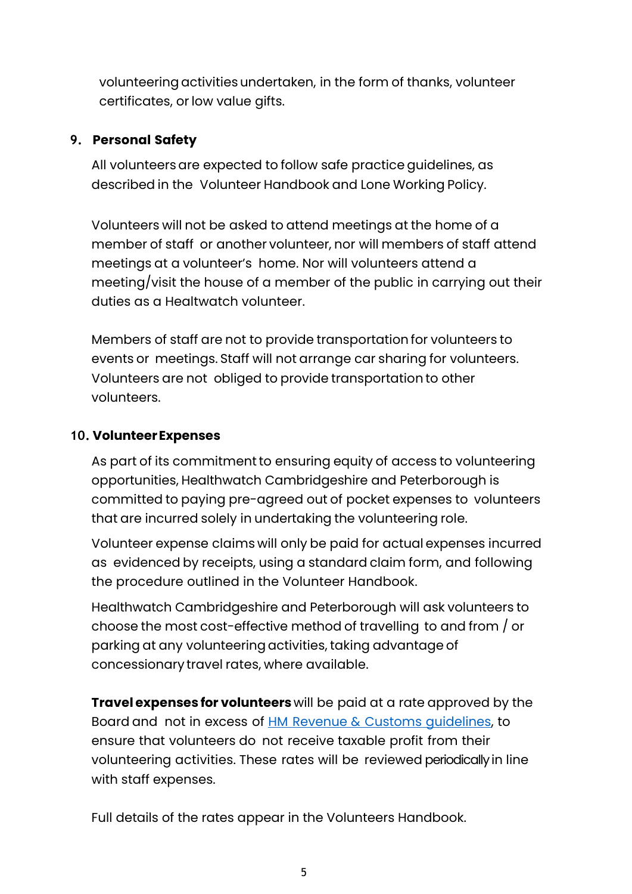volunteering activities undertaken, in the form of thanks, volunteer certificates, or low value gifts.

## **9. Personal Safety**

All volunteers are expected to follow safe practice guidelines, as described in the Volunteer Handbook and Lone Working Policy.

Volunteers will not be asked to attend meetings at the home of a member of staff or another volunteer, nor will members of staff attend meetings at a volunteer's home. Nor will volunteers attend a meeting/visit the house of a member of the public in carrying out their duties as a Healtwatch volunteer.

Members of staff are not to provide transportation for volunteers to events or meetings. Staff will not arrange car sharing for volunteers. Volunteers are not obliged to provide transportation to other volunteers.

#### **10. VolunteerExpenses**

As part of its commitment to ensuring equity of access to volunteering opportunities, Healthwatch Cambridgeshire and Peterborough is committed to paying pre-agreed out of pocket expenses to volunteers that are incurred solely in undertaking the volunteering role.

Volunteer expense claims will only be paid for actual expenses incurred as evidenced by receipts, using a standard claim form, and following the procedure outlined in the Volunteer Handbook.

Healthwatch Cambridgeshire and Peterborough will ask volunteers to choose the most cost-effective method of travelling to and from / or parking at any volunteeringactivities, taking advantage of concessionary travel rates, where available.

**Travel expenses for volunteers** will be paid at a rate approved by the Board and not in excess of **HM Revenue & Customs guidelines**, to ensure that volunteers do not receive taxable profit from their volunteering activities. These rates will be reviewed periodically in line with staff expenses.

Full details of the rates appear in the Volunteers Handbook.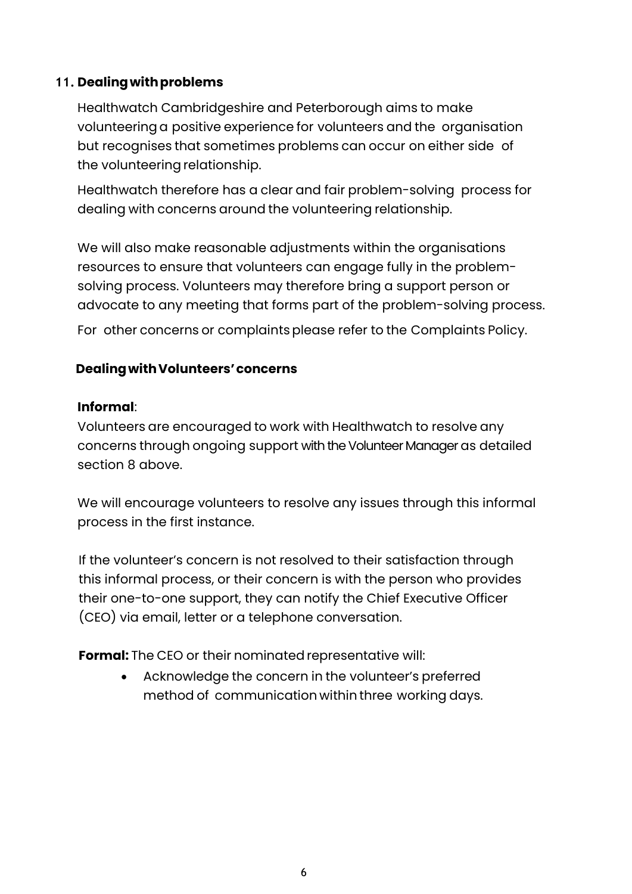#### **11. Dealingwithproblems**

Healthwatch Cambridgeshire and Peterborough aims to make volunteeringa positive experience for volunteers and the organisation but recognises that sometimes problems can occur on either side of the volunteering relationship.

Healthwatch therefore has a clear and fair problem-solving process for dealing with concerns around the volunteering relationship.

We will also make reasonable adjustments within the organisations resources to ensure that volunteers can engage fully in the problemsolving process. Volunteers may therefore bring a support person or advocate to any meeting that forms part of the problem-solving process.

For other concerns or complaints please refer to the Complaints Policy.

#### **DealingwithVolunteers'concerns**

#### **Informal**:

Volunteers are encouraged to work with Healthwatch to resolve any concerns through ongoing support with the Volunteer Manager as detailed section 8 above.

We will encourage volunteers to resolve any issues through this informal process in the first instance.

If the volunteer's concern is not resolved to their satisfaction through this informal process, or their concern is with the person who provides their one-to-one support, they can notify the Chief Executive Officer (CEO) via email, letter or a telephone conversation.

**Formal:** The CEO or their nominated representative will:

• Acknowledge the concern in the volunteer's preferred method of communication within three working days.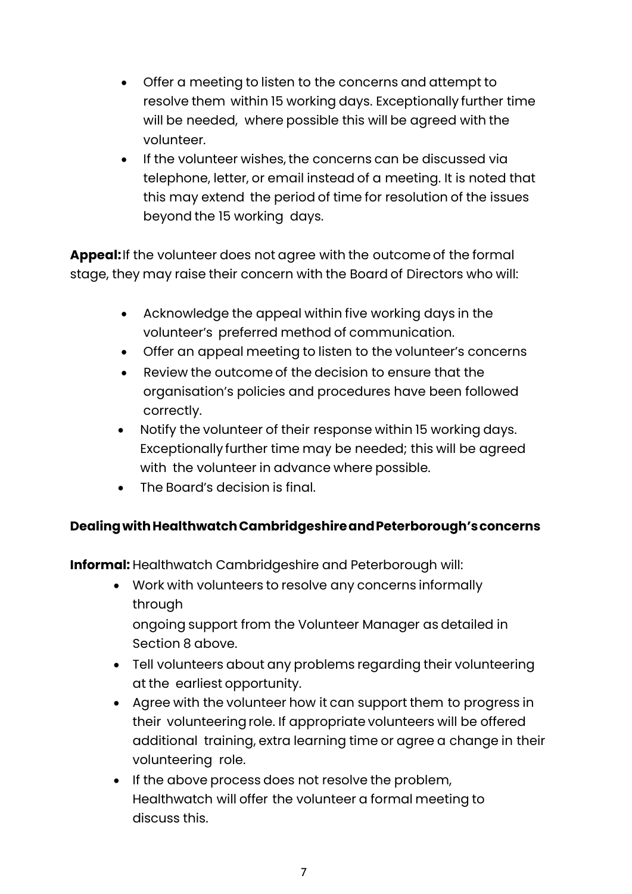- Offer a meeting to listen to the concerns and attempt to resolve them within 15 working days. Exceptionally further time will be needed, where possible this will be agreed with the volunteer.
- If the volunteer wishes, the concerns can be discussed via telephone, letter, or email instead of a meeting. It is noted that this may extend the period of time for resolution of the issues beyond the 15 working days.

**Appeal:**If the volunteer does not agree with the outcome of the formal stage, they may raise their concern with the Board of Directors who will:

- Acknowledge the appeal within five working days in the volunteer's preferred method of communication.
- Offer an appeal meeting to listen to the volunteer's concerns
- Review the outcome of the decision to ensure that the organisation's policies and procedures have been followed correctly.
- Notify the volunteer of their response within 15 working days. Exceptionally further time may be needed; this will be agreed with the volunteer in advance where possible.
- The Board's decision is final.

### **DealingwithHealthwatchCambridgeshireandPeterborough'sconcerns**

**Informal:** Healthwatch Cambridgeshire and Peterborough will:

- Work with volunteers to resolve any concerns informally through ongoing support from the Volunteer Manager as detailed in Section 8 above.
- Tell volunteers about any problems regarding their volunteering at the earliest opportunity.
- Agree with the volunteer how it can support them to progress in their volunteeringrole. If appropriate volunteers will be offered additional training, extra learning time or agree a change in their volunteering role.
- If the above process does not resolve the problem, Healthwatch will offer the volunteer a formal meeting to discuss this.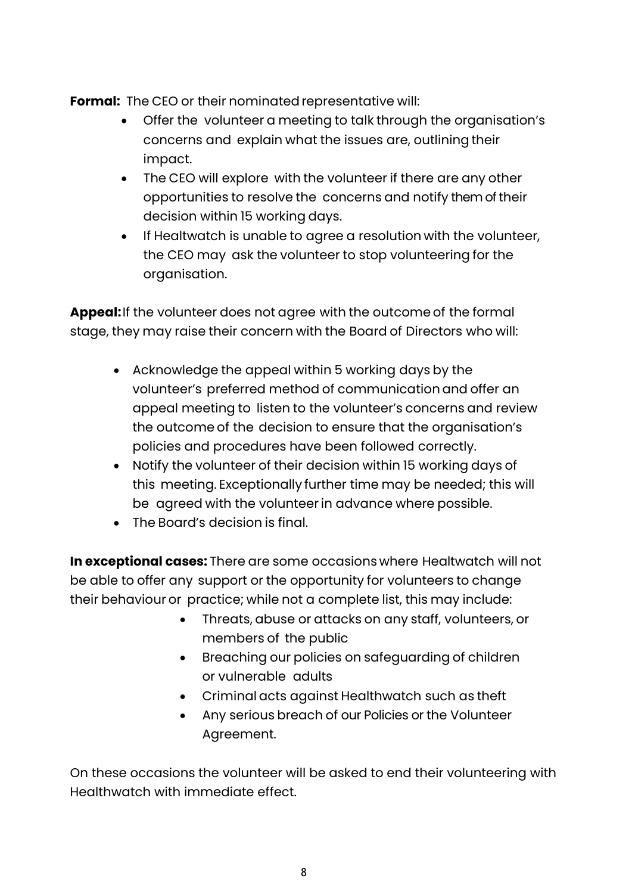**Formal:** The CEO or their nominated representative will:

- Offer the volunteer a meeting to talk through the organisation's concerns and explain what the issues are, outlining their impact.
- The CEO will explore with the volunteer if there are any other opportunities to resolve the concerns and notify them of their decision within 15 working days.
- If Healtwatch is unable to agree a resolution with the volunteer, the CEO may ask the volunteer to stop volunteering for the organisation.

**Appeal:**If the volunteer does not agree with the outcome of the formal stage, they may raise their concern with the Board of Directors who will:

- Acknowledge the appeal within 5 working days by the volunteer's preferred method of communicationand offer an appeal meeting to listen to the volunteer's concerns and review the outcome of the decision to ensure that the organisation's policies and procedures have been followed correctly.
- Notify the volunteer of their decision within 15 working days of this meeting. Exceptionally further time may be needed; this will be agreed with the volunteerin advance where possible.
- The Board's decision is final.

**In exceptional cases:** There are some occasions where Healtwatch will not be able to offer any support or the opportunity for volunteers to change their behaviour or practice; while not a complete list, this may include:

- Threats, abuse or attacks on any staff, volunteers, or members of the public
- Breaching our policies on safeguarding of children or vulnerable adults
- Criminal acts against Healthwatch such as theft
- Any serious breach of our Policies or the Volunteer Agreement.

On these occasions the volunteer will be asked to end their volunteering with Healthwatch with immediate effect.